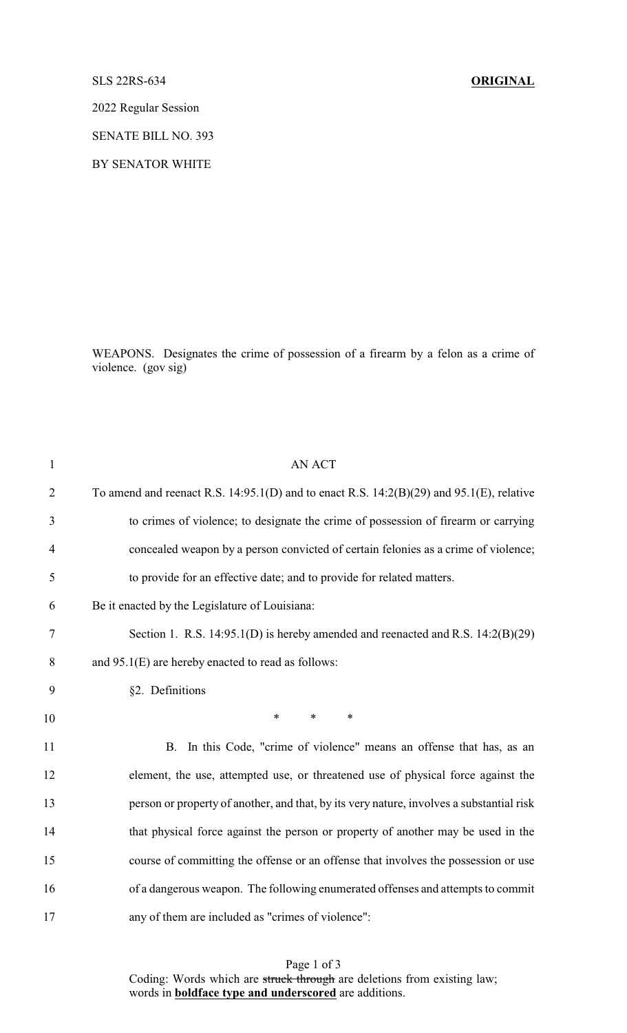## SLS 22RS-634 **ORIGINAL**

2022 Regular Session

SENATE BILL NO. 393

BY SENATOR WHITE

WEAPONS. Designates the crime of possession of a firearm by a felon as a crime of violence. (gov sig)

| $\mathbf{1}$   | <b>AN ACT</b>                                                                                   |
|----------------|-------------------------------------------------------------------------------------------------|
| $\overline{2}$ | To amend and reenact R.S. $14:95.1(D)$ and to enact R.S. $14:2(B)(29)$ and $95.1(E)$ , relative |
| 3              | to crimes of violence; to designate the crime of possession of firearm or carrying              |
| $\overline{4}$ | concealed weapon by a person convicted of certain felonies as a crime of violence;              |
| 5              | to provide for an effective date; and to provide for related matters.                           |
| 6              | Be it enacted by the Legislature of Louisiana:                                                  |
| 7              | Section 1. R.S. 14:95.1(D) is hereby amended and reenacted and R.S. 14:2(B)(29)                 |
| 8              | and 95.1(E) are hereby enacted to read as follows:                                              |
| 9              | §2. Definitions                                                                                 |
| 10             | $\ast$<br>$\ast$<br>$\ast$                                                                      |
| 11             | In this Code, "crime of violence" means an offense that has, as an<br><b>B.</b>                 |
| 12             | element, the use, attempted use, or threatened use of physical force against the                |
| 13             | person or property of another, and that, by its very nature, involves a substantial risk        |
| 14             | that physical force against the person or property of another may be used in the                |
| 15             | course of committing the offense or an offense that involves the possession or use              |
| 16             | of a dangerous weapon. The following enumerated offenses and attempts to commit                 |
| 17             | any of them are included as "crimes of violence":                                               |

Page 1 of 3 Coding: Words which are struck through are deletions from existing law; words in **boldface type and underscored** are additions.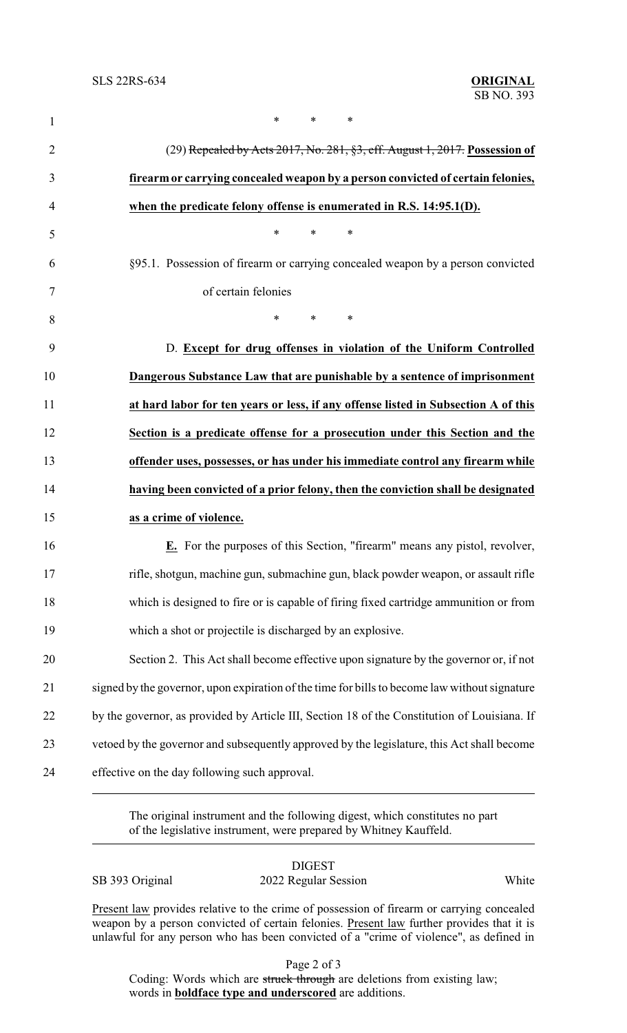| $\mathbf{1}$   | *<br>$\ast$                                                                                   |
|----------------|-----------------------------------------------------------------------------------------------|
| $\overline{2}$ | (29) Repealed by Acts 2017, No. 281, §3, eff. August 1, 2017. Possession of                   |
| 3              | firearm or carrying concealed weapon by a person convicted of certain felonies,               |
| 4              | when the predicate felony offense is enumerated in R.S. 14:95.1(D).                           |
| 5              | *<br>$\ast$<br>$\ast$                                                                         |
| 6              | §95.1. Possession of firearm or carrying concealed weapon by a person convicted               |
| 7              | of certain felonies                                                                           |
| 8              | $\ast$<br>$\ast$<br>$*$ $-$                                                                   |
| 9              | D. Except for drug offenses in violation of the Uniform Controlled                            |
| 10             | Dangerous Substance Law that are punishable by a sentence of imprisonment                     |
| 11             | at hard labor for ten years or less, if any offense listed in Subsection A of this            |
| 12             | Section is a predicate offense for a prosecution under this Section and the                   |
| 13             | offender uses, possesses, or has under his immediate control any firearm while                |
| 14             | having been convicted of a prior felony, then the conviction shall be designated              |
| 15             | as a crime of violence.                                                                       |
| 16             | E. For the purposes of this Section, "firearm" means any pistol, revolver,                    |
| 17             | rifle, shotgun, machine gun, submachine gun, black powder weapon, or assault rifle            |
| 18             | which is designed to fire or is capable of firing fixed cartridge ammunition or from          |
| 19             | which a shot or projectile is discharged by an explosive.                                     |
| 20             | Section 2. This Act shall become effective upon signature by the governor or, if not          |
| 21             | signed by the governor, upon expiration of the time for bills to become law without signature |
| 22             | by the governor, as provided by Article III, Section 18 of the Constitution of Louisiana. If  |
| 23             | vetoed by the governor and subsequently approved by the legislature, this Act shall become    |
| 24             | effective on the day following such approval.                                                 |
|                |                                                                                               |

The original instrument and the following digest, which constitutes no part of the legislative instrument, were prepared by Whitney Kauffeld.

DIGEST

SB 393 Original 2022 Regular Session White

Present law provides relative to the crime of possession of firearm or carrying concealed weapon by a person convicted of certain felonies. Present law further provides that it is unlawful for any person who has been convicted of a "crime of violence", as defined in

Page 2 of 3

Coding: Words which are struck through are deletions from existing law; words in **boldface type and underscored** are additions.